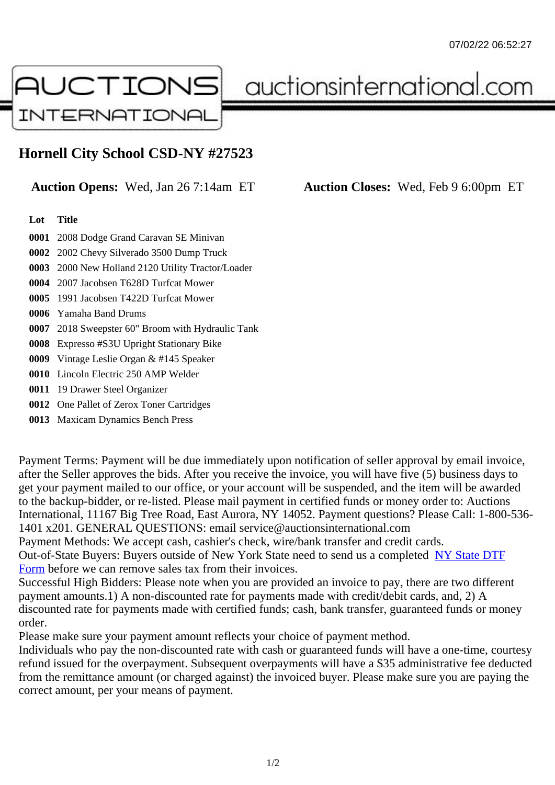## Hornell City School CSD-NY #27523

## Auction Opens: Wed, Jan 26 7:14am ET Auction Closes: Wed, Feb 9 6:00pm ET

## Lot Title

0001 2008 Dodge Grand Caravan SE Minivan

0002 2002 Chevy Silverado 3500 Dump Truck

0003 2000 New Holland 2120 Utility Tractor/Loader

0004 2007 Jacobsen T628D Turfcat Mower

0005 1991 Jacobsen T422D Turfcat Mower

0006 Yamaha Band Drums

0007 2018 Sweepster 60" Broom with Hydraulic Tank

0008 Expresso #S3U Upright Stationary Bike

0009 Vintage Leslie Organ & #145 Speaker

0010 Lincoln Electric 250 AMP Welder

0011 19 Drawer Steel Organizer

0012 One Pallet of Zerox Toner Cartridges

0013 Maxicam Dynamics Bench Press

Payment Terms: Payment will be due immediately upon notification of seller approval by email invoice, after the Seller approves the bids. After you receive the invoice, you will have five (5) business days to get your payment mailed to our office, or your account will be suspended, and the item will be awarded to the backup-bidder, or re-listed. Please mail payment in certified funds or money order to: Auctions International, 11167 Big Tree Road, East Aurora, NY 14052. Payment questions? Please Call: 1-800-53 1401 x201. GENERAL QUESTIONS: email service@auctionsinternational.com

Payment Methods: We accept cash, cashier's check, wire/bank transfer and credit cards.

Out-of-State Buyers: Buyers outside of New York State need to send us a com blestate DTF Form before we can remove sales tax from their invoices.

Successful High Bidders: Please note when you are provided an invoice to pay, there are two different payment amounts.1) A non-discounted rate for payments made with credit/de[bit cards, and](https://www.auctionsinternational.com/auxiliary/downloads/DTF_Form/dtf_fill_in.pdf), 2) A [disco](https://www.auctionsinternational.com/auxiliary/downloads/DTF_Form/dtf_fill_in.pdf)unted rate for payments made with certified funds; cash, bank transfer, guaranteed funds or money order.

Please make sure your payment amount reflects your choice of payment method.

Individuals who pay the non-discounted rate with cash or guaranteed funds will have a one-time, courte refund issued for the overpayment. Subsequent overpayments will have a \$35 administrative fee deduc from the remittance amount (or charged against) the invoiced buyer. Please make sure you are paying correct amount, per your means of payment.